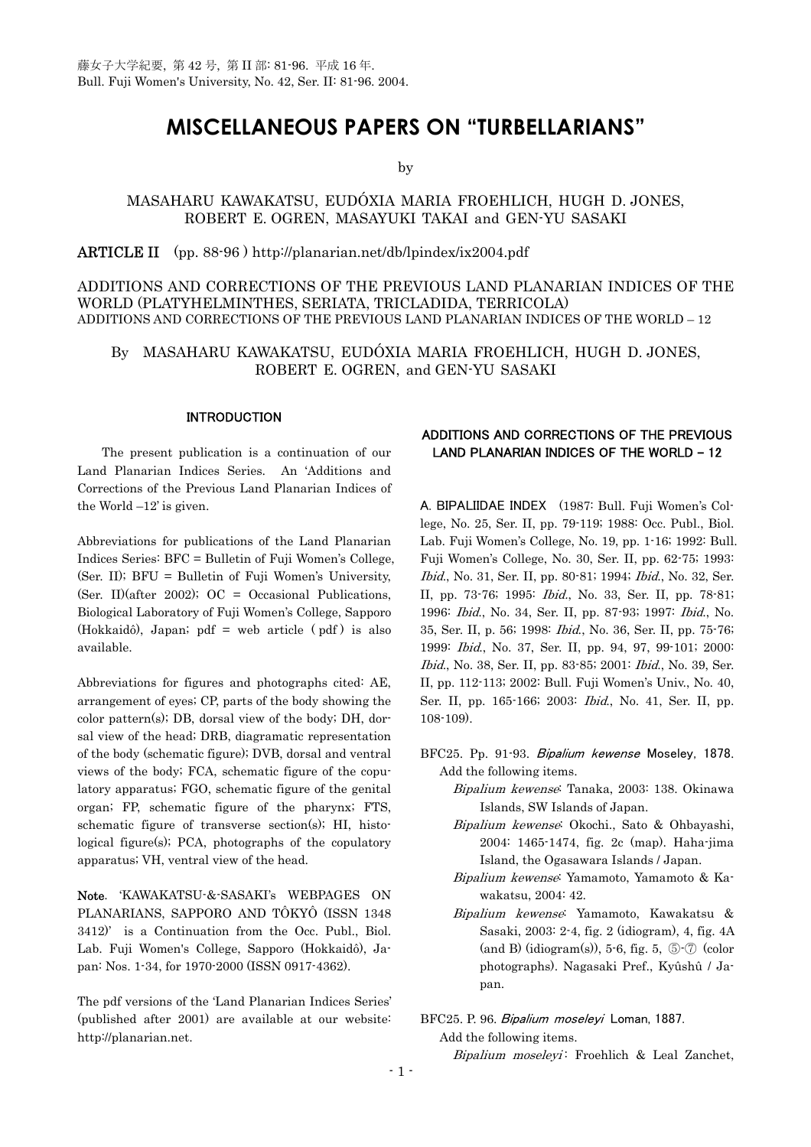# **MISCELLANEOUS PAPERS ON "TURBELLARIANS"**

by

## MASAHARU KAWAKATSU, EUDÓXIA MARIA FROEHLICH, HUGH D. JONES, ROBERT E. OGREN, MASAYUKI TAKAI and GEN-YU SASAKI

ARTICLE II (pp. 88-96 ) http://planarian.net/db/lpindex/ix2004.pdf

## ADDITIONS AND CORRECTIONS OF THE PREVIOUS LAND PLANARIAN INDICES OF THE WORLD (PLATYHELMINTHES, SERIATA, TRICLADIDA, TERRICOLA) ADDITIONS AND CORRECTIONS OF THE PREVIOUS LAND PLANARIAN INDICES OF THE WORLD – 12

By MASAHARU KAWAKATSU, EUDÓXIA MARIA FROEHLICH, HUGH D. JONES, ROBERT E. OGREN, and GEN-YU SASAKI

## INTRODUCTION

 The present publication is a continuation of our Land Planarian Indices Series. An 'Additions and Corrections of the Previous Land Planarian Indices of the World –12' is given.

Abbreviations for publications of the Land Planarian Indices Series: BFC = Bulletin of Fuji Women's College, (Ser. II); BFU = Bulletin of Fuji Women's University, (Ser. II)(after 2002); OC = Occasional Publications, Biological Laboratory of Fuji Women's College, Sapporo (Hokkaidô), Japan; pdf = web article ( pdf ) is also available.

Abbreviations for figures and photographs cited: AE, arrangement of eyes; CP, parts of the body showing the color pattern(s); DB, dorsal view of the body; DH, dorsal view of the head; DRB, diagramatic representation of the body (schematic figure); DVB, dorsal and ventral views of the body; FCA, schematic figure of the copulatory apparatus; FGO, schematic figure of the genital organ; FP, schematic figure of the pharynx; FTS, schematic figure of transverse section(s); HI, histological figure(s); PCA, photographs of the copulatory apparatus; VH, ventral view of the head.

Note. 'KAWAKATSU-&-SASAKI's WEBPAGES ON PLANARIANS, SAPPORO AND TÔKYÔ (ISSN 1348 3412)' is a Continuation from the Occ. Publ., Biol. Lab. Fuji Women's College, Sapporo (Hokkaidô), Japan: Nos. 1-34, for 1970-2000 (ISSN 0917-4362).

The pdf versions of the 'Land Planarian Indices Series' (published after 2001) are available at our website: http://planarian.net.

## ADDITIONS AND CORRECTIONS OF THE PREVIOUS LAND PLANARIAN INDICES OF THE WORLD **–** 12

A. BIPALIIDAE INDEX (1987: Bull. Fuji Women's College, No. 25, Ser. II, pp. 79-119; 1988: Occ. Publ., Biol. Lab. Fuji Women's College, No. 19, pp. 1-16; 1992: Bull. Fuji Women's College, No. 30, Ser. II, pp. 62-75; 1993: Ibid., No. 31, Ser. II, pp. 80-81; 1994; Ibid., No. 32, Ser. II, pp. 73-76; 1995: Ibid., No. 33, Ser. II, pp. 78-81; 1996: Ibid., No. 34, Ser. II, pp. 87-93; 1997: Ibid., No. 35, Ser. II, p. 56; 1998: Ibid., No. 36, Ser. II, pp. 75-76; 1999: Ibid., No. 37, Ser. II, pp. 94, 97, 99-101; 2000: Ibid., No. 38, Ser. II, pp. 83-85; 2001: Ibid., No. 39, Ser. II, pp. 112-113; 2002: Bull. Fuji Women's Univ., No. 40, Ser. II, pp. 165-166; 2003: Ibid., No. 41, Ser. II, pp. 108-109).

BFC25. Pp. 91-93. Bipalium kewense Moseley, 1878. Add the following items.

- Bipalium kewense: Tanaka, 2003: 138. Okinawa Islands, SW Islands of Japan.
- Bipalium kewense: Okochi., Sato & Ohbayashi, 2004: 1465-1474, fig. 2c (map). Haha-jima Island, the Ogasawara Islands / Japan.
- Bipalium kewense: Yamamoto, Yamamoto & Kawakatsu, 2004: 42.
- Bipalium kewense: Yamamoto, Kawakatsu & Sasaki, 2003: 2-4, fig. 2 (idiogram), 4, fig. 4A  $(and B)$  (idiogram $(s)$ ), 5-6, fig. 5,  $\odot$ - $\odot$   $\odot$   $(color)$ photographs). Nagasaki Pref., Kyûshû / Japan.

### BFC25. P. 96. Bipalium moseleyi Loman, 1887.

Add the following items.

Bipalium moseleyi: Froehlich & Leal Zanchet,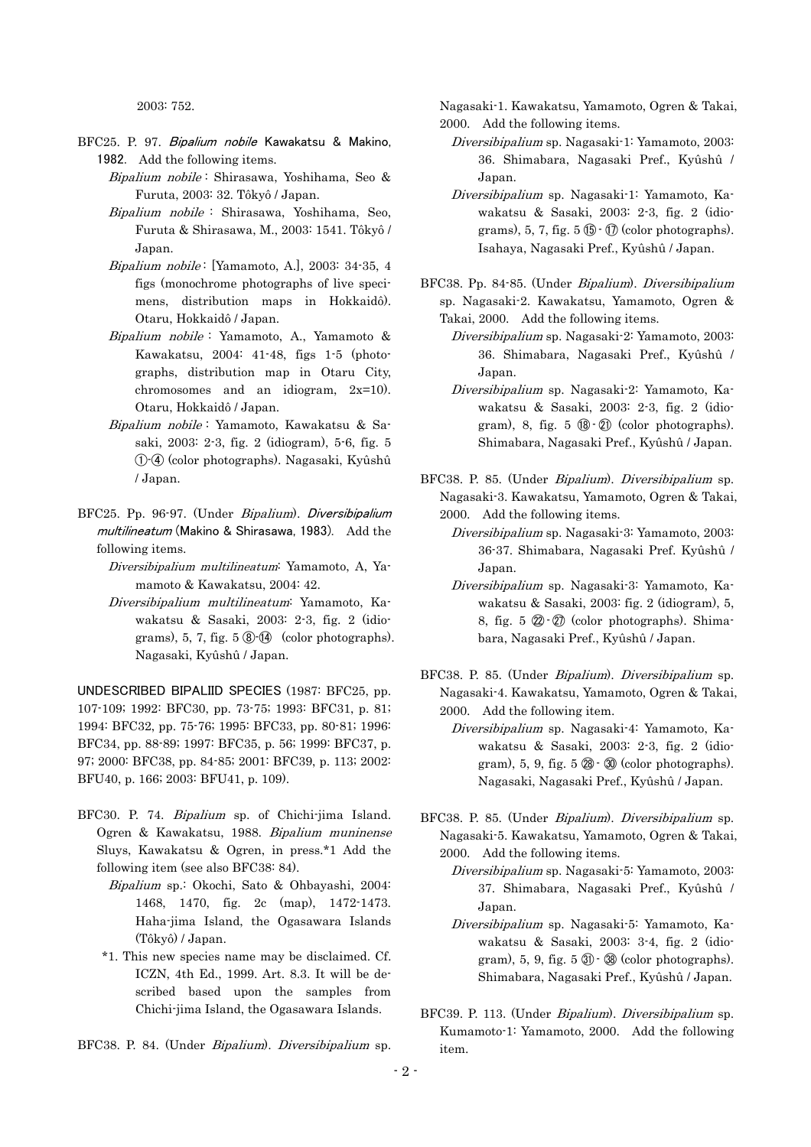2003: 752.

- BFC25. P. 97. Bipalium nobile Kawakatsu & Makino, 1982. Add the following items.
	- Bipalium nobile : Shirasawa, Yoshihama, Seo & Furuta, 2003: 32. Tôkyô / Japan.
	- Bipalium nobile : Shirasawa, Yoshihama, Seo, Furuta & Shirasawa, M., 2003: 1541. Tôkyô / Japan.
	- Bipalium nobile : [Yamamoto, A.], 2003: 34-35, 4 figs (monochrome photographs of live specimens, distribution maps in Hokkaidô). Otaru, Hokkaidô / Japan.
	- Bipalium nobile : Yamamoto, A., Yamamoto & Kawakatsu, 2004: 41-48, figs 1-5 (photographs, distribution map in Otaru City, chromosomes and an idiogram, 2x=10). Otaru, Hokkaidô / Japan.
	- Bipalium nobile : Yamamoto, Kawakatsu & Sasaki, 2003: 2-3, fig. 2 (idiogram), 5-6, fig. 5 - (color photographs). Nagasaki, Kyûshû / Japan.
- BFC25. Pp. 96-97. (Under Bipalium). Diversibipalium multilineatum (Makino & Shirasawa, 1983). Add the following items.
	- Diversibipalium multilineatum: Yamamoto, A, Yamamoto & Kawakatsu, 2004: 42.
	- Diversibipalium multilineatum: Yamamoto, Kawakatsu & Sasaki, 2003: 2-3, fig. 2 (idio $grams$ , 5, 7, fig. 5 $\circled{8}$  $\circled{4}$  (color photographs). Nagasaki, Kyûshû / Japan.

UNDESCRIBED BIPALIID SPECIES (1987: BFC25, pp. 107-109; 1992: BFC30, pp. 73-75; 1993: BFC31, p. 81; 1994: BFC32, pp. 75-76; 1995: BFC33, pp. 80-81; 1996: BFC34, pp. 88-89; 1997: BFC35, p. 56; 1999: BFC37, p. 97; 2000: BFC38, pp. 84-85; 2001: BFC39, p. 113; 2002: BFU40, p. 166; 2003: BFU41, p. 109).

- BFC30. P. 74. Bipalium sp. of Chichi-jima Island. Ogren & Kawakatsu, 1988. Bipalium muninense Sluys, Kawakatsu & Ogren, in press.\*1 Add the following item (see also BFC38: 84).
	- Bipalium sp.: Okochi, Sato & Ohbayashi, 2004: 1468, 1470, fig. 2c (map), 1472-1473. Haha-jima Island, the Ogasawara Islands (Tôkyô) / Japan.
	- \*1. This new species name may be disclaimed. Cf. ICZN, 4th Ed., 1999. Art. 8.3. It will be described based upon the samples from Chichi-jima Island, the Ogasawara Islands.
- BFC38. P. 84. (Under Bipalium). Diversibipalium sp.

Nagasaki-1. Kawakatsu, Yamamoto, Ogren & Takai, 2000. Add the following items.

- Diversibipalium sp. Nagasaki-1: Yamamoto, 2003: 36. Shimabara, Nagasaki Pref., Kyûshû / Japan.
- Diversibipalium sp. Nagasaki-1: Yamamoto, Kawakatsu & Sasaki, 2003: 2-3, fig. 2 (idiograms), 5, 7, fig.  $5 \circled{5} \cdot \circled{7}$  (color photographs). Isahaya, Nagasaki Pref., Kyûshû / Japan.
- BFC38. Pp. 84-85. (Under Bipalium). Diversibipalium sp. Nagasaki-2. Kawakatsu, Yamamoto, Ogren & Takai, 2000. Add the following items.
	- Diversibipalium sp. Nagasaki-2: Yamamoto, 2003: 36. Shimabara, Nagasaki Pref., Kyûshû / Japan.
	- Diversibipalium sp. Nagasaki-2: Yamamoto, Kawakatsu & Sasaki, 2003: 2-3, fig. 2 (idiogram), 8, fig.  $5 \times 2 \times 10^{-1}$  (color photographs). Shimabara, Nagasaki Pref., Kyûshû / Japan.
- BFC38. P. 85. (Under Bipalium). Diversibipalium sp. Nagasaki-3. Kawakatsu, Yamamoto, Ogren & Takai, 2000. Add the following items.
	- Diversibipalium sp. Nagasaki-3: Yamamoto, 2003: 36-37. Shimabara, Nagasaki Pref. Kyûshû / Japan.
	- Diversibipalium sp. Nagasaki-3: Yamamoto, Kawakatsu & Sasaki, 2003: fig. 2 (idiogram), 5, 8, fig. 5 Q - U (color photographs). Shimabara, Nagasaki Pref., Kyûshû / Japan.
- BFC38. P. 85. (Under Bipalium). Diversibipalium sp. Nagasaki-4. Kawakatsu, Yamamoto, Ogren & Takai, 2000. Add the following item.
	- Diversibipalium sp. Nagasaki-4: Yamamoto, Kawakatsu & Sasaki, 2003: 2-3, fig. 2 (idiogram), 5, 9, fig.  $5 \circledcirc$   $\circledcirc$  (color photographs). Nagasaki, Nagasaki Pref., Kyûshû / Japan.
- BFC38. P. 85. (Under Bipalium). Diversibipalium sp. Nagasaki-5. Kawakatsu, Yamamoto, Ogren & Takai, 2000. Add the following items.
	- Diversibipalium sp. Nagasaki-5: Yamamoto, 2003: 37. Shimabara, Nagasaki Pref., Kyûshû / Japan.
	- Diversibipalium sp. Nagasaki-5: Yamamoto, Kawakatsu & Sasaki, 2003: 3-4, fig. 2 (idiogram),  $5, 9$ , fig.  $5 \circled{3}$   $\circ$   $\circled{3}$  (color photographs). Shimabara, Nagasaki Pref., Kyûshû / Japan.
- BFC39. P. 113. (Under Bipalium). Diversibipalium sp. Kumamoto-1: Yamamoto, 2000. Add the following item.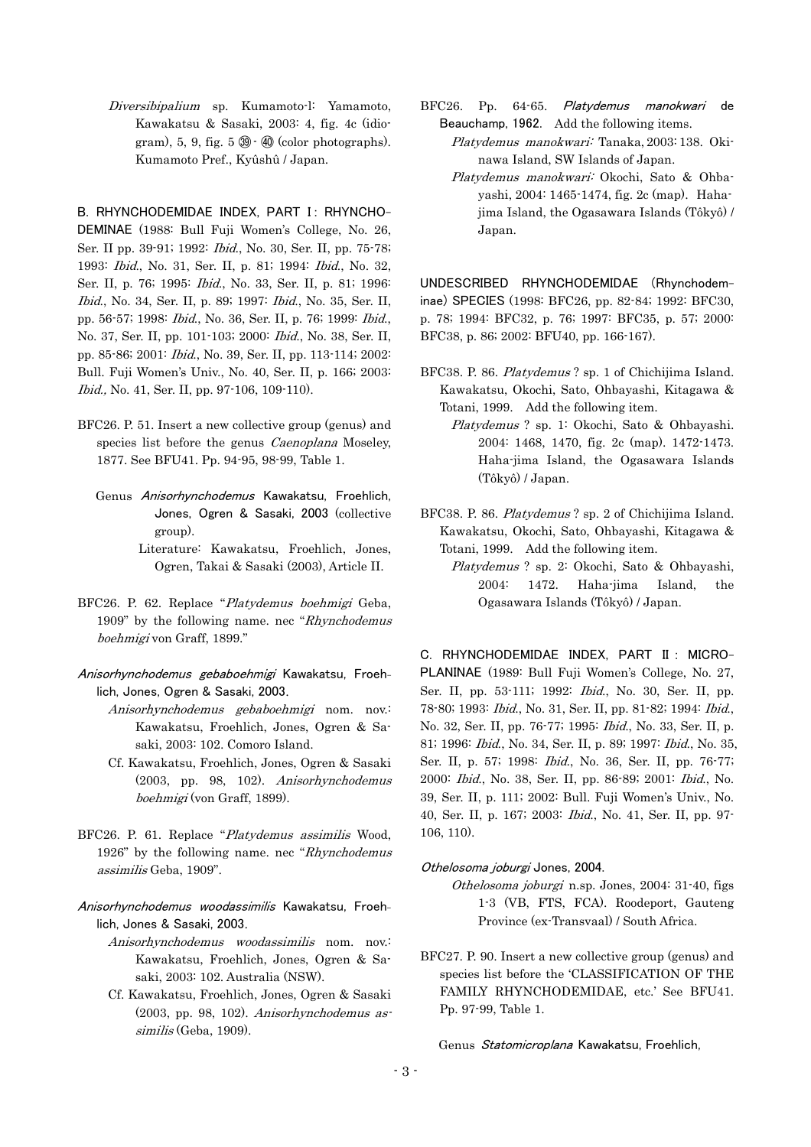Diversibipalium sp. Kumamoto-l: Yamamoto, Kawakatsu & Sasaki, 2003: 4, fig. 4c (idiogram),  $5, 9$ , fig.  $5 \circledast$  -  $\circledast$  (color photographs). Kumamoto Pref., Kyûshû / Japan.

B. RHYNCHODEMIDAE INDEX, PART I: RHYNCHO-DEMINAE (1988: Bull Fuji Women's College, No. 26, Ser. II pp. 39-91; 1992: Ibid., No. 30, Ser. II, pp. 75-78; 1993: Ibid., No. 31, Ser. II, p. 81; 1994: Ibid., No. 32, Ser. II, p. 76; 1995: Ibid., No. 33, Ser. II, p. 81; 1996: Ibid., No. 34, Ser. II, p. 89; 1997: Ibid., No. 35, Ser. II, pp. 56-57; 1998: Ibid., No. 36, Ser. II, p. 76; 1999: Ibid., No. 37, Ser. II, pp. 101-103; 2000: Ibid., No. 38, Ser. II, pp. 85-86; 2001: Ibid., No. 39, Ser. II, pp. 113-114; 2002: Bull. Fuji Women's Univ., No. 40, Ser. II, p. 166; 2003: Ibid., No. 41, Ser. II, pp. 97-106, 109-110).

- BFC26. P. 51. Insert a new collective group (genus) and species list before the genus *Caenoplana* Moseley, 1877. See BFU41. Pp. 94-95, 98-99, Table 1.
	- Genus Anisorhynchodemus Kawakatsu, Froehlich, Jones, Ogren & Sasaki, 2003 (collective group).
		- Literature: Kawakatsu, Froehlich, Jones, Ogren, Takai & Sasaki (2003), Article II.
- BFC26. P. 62. Replace "Platydemus boehmigi Geba, 1909" by the following name. nec "Rhynchodemus boehmigi von Graff, 1899."
- Anisorhynchodemus gebaboehmigi Kawakatsu, Froehlich, Jones, Ogren & Sasaki, 2003.
	- Anisorhynchodemus gebaboehmigi nom. nov.: Kawakatsu, Froehlich, Jones, Ogren & Sasaki, 2003: 102. Comoro Island.
	- Cf. Kawakatsu, Froehlich, Jones, Ogren & Sasaki (2003, pp. 98, 102). Anisorhynchodemus boehmigi (von Graff, 1899).
- BFC26. P. 61. Replace "Platydemus assimilis Wood, 1926" by the following name. nec "Rhynchodemus assimilis Geba, 1909".
- Anisorhynchodemus woodassimilis Kawakatsu, Froehlich, Jones & Sasaki, 2003.
	- Anisorhynchodemus woodassimilis nom. nov.: Kawakatsu, Froehlich, Jones, Ogren & Sasaki, 2003: 102. Australia (NSW).
	- Cf. Kawakatsu, Froehlich, Jones, Ogren & Sasaki (2003, pp. 98, 102). Anisorhynchodemus assimilis (Geba, 1909).
- BFC26. Pp. 64-65. Platydemus manokwari de Beauchamp, 1962. Add the following items.
	- Platydemus manokwari: Tanaka, 2003: 138. Okinawa Island, SW Islands of Japan.
	- Platydemus manokwari: Okochi, Sato & Ohbayashi, 2004: 1465-1474, fig. 2c (map). Hahajima Island, the Ogasawara Islands (Tôkyô) / Japan.

UNDESCRIBED RHYNCHODEMIDAE (Rhynchodeminae) SPECIES (1998: BFC26, pp. 82-84; 1992: BFC30, p. 78; 1994: BFC32, p. 76; 1997: BFC35, p. 57; 2000: BFC38, p. 86; 2002: BFU40, pp. 166-167).

- BFC38. P. 86. Platydemus ? sp. 1 of Chichijima Island. Kawakatsu, Okochi, Sato, Ohbayashi, Kitagawa & Totani, 1999. Add the following item.
	- Platydemus ? sp. 1: Okochi, Sato & Ohbayashi. 2004: 1468, 1470, fig. 2c (map). 1472-1473. Haha-jima Island, the Ogasawara Islands (Tôkyô) / Japan.
- BFC38. P. 86. Platydemus ? sp. 2 of Chichijima Island. Kawakatsu, Okochi, Sato, Ohbayashi, Kitagawa & Totani, 1999. Add the following item.
	- Platydemus ? sp. 2: Okochi, Sato & Ohbayashi, 2004: 1472. Haha-jima Island, the Ogasawara Islands (Tôkyô) / Japan.

C. RHYNCHODEMIDAE INDEX, PART II : MICRO-PLANINAE (1989: Bull Fuji Women's College, No. 27, Ser. II, pp. 53-111; 1992: Ibid., No. 30, Ser. II, pp. 78-80; 1993: Ibid., No. 31, Ser. II, pp. 81-82; 1994: Ibid., No. 32, Ser. II, pp. 76-77; 1995: Ibid., No. 33, Ser. II, p. 81; 1996: Ibid., No. 34, Ser. II, p. 89; 1997: Ibid., No. 35, Ser. II, p. 57; 1998: Ibid., No. 36, Ser. II, pp. 76-77; 2000: Ibid., No. 38, Ser. II, pp. 86-89; 2001: Ibid., No. 39, Ser. II, p. 111; 2002: Bull. Fuji Women's Univ., No. 40, Ser. II, p. 167; 2003: Ibid., No. 41, Ser. II, pp. 97- 106, 110).

### Othelosoma joburgi Jones, 2004.

- Othelosoma joburgi n.sp. Jones, 2004: 31-40, figs 1-3 (VB, FTS, FCA). Roodeport, Gauteng Province (ex-Transvaal) / South Africa.
- BFC27. P. 90. Insert a new collective group (genus) and species list before the 'CLASSIFICATION OF THE FAMILY RHYNCHODEMIDAE, etc.' See BFU41. Pp. 97-99, Table 1.

Genus Statomicroplana Kawakatsu, Froehlich,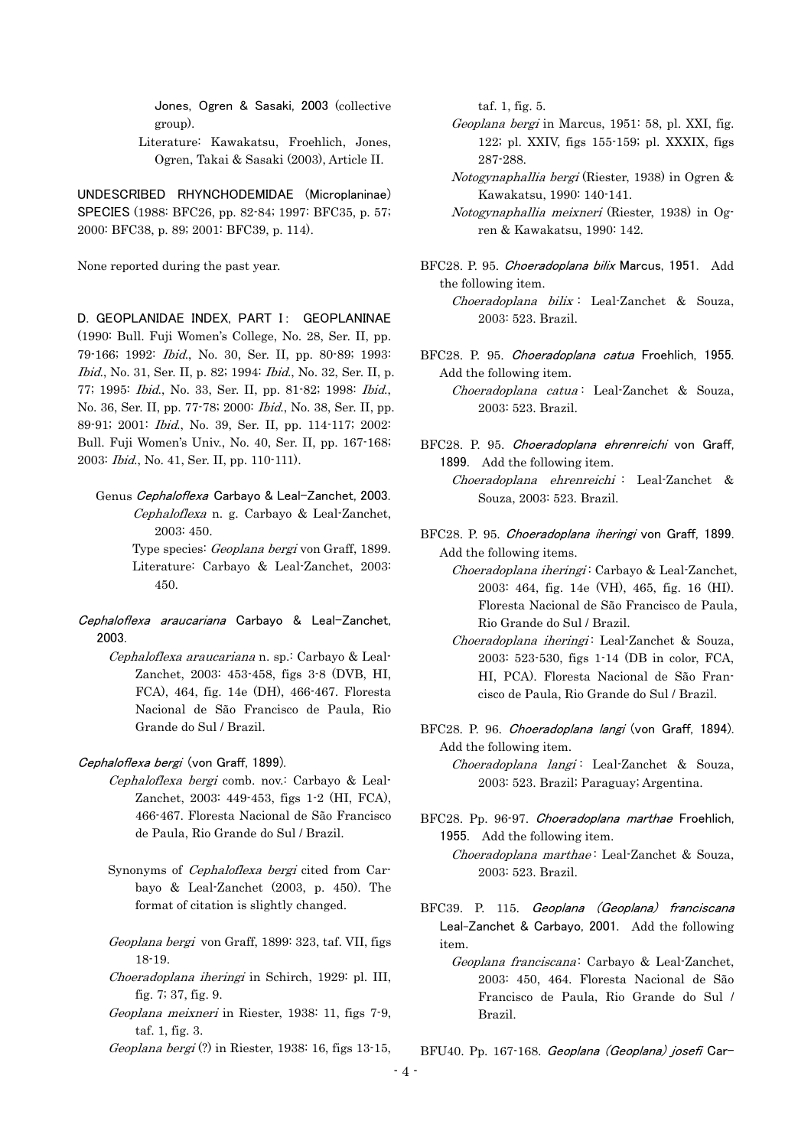Jones, Ogren & Sasaki, 2003 (collective group).

 Literature: Kawakatsu, Froehlich, Jones, Ogren, Takai & Sasaki (2003), Article II.

UNDESCRIBED RHYNCHODEMIDAE (Microplaninae) SPECIES (1988: BFC26, pp. 82-84; 1997: BFC35, p. 57; 2000: BFC38, p. 89; 2001: BFC39, p. 114).

None reported during the past year.

D. GEOPLANIDAE INDEX, PART I: GEOPLANINAE (1990: Bull. Fuji Women's College, No. 28, Ser. II, pp. 79-166; 1992: Ibid., No. 30, Ser. II, pp. 80-89; 1993: Ibid., No. 31, Ser. II, p. 82; 1994: Ibid., No. 32, Ser. II, p. 77; 1995: Ibid., No. 33, Ser. II, pp. 81-82; 1998: Ibid., No. 36, Ser. II, pp. 77-78; 2000: Ibid., No. 38, Ser. II, pp. 89-91; 2001: Ibid., No. 39, Ser. II, pp. 114-117; 2002: Bull. Fuji Women's Univ., No. 40, Ser. II, pp. 167-168; 2003: Ibid., No. 41, Ser. II, pp. 110-111).

 Genus Cephaloflexa Carbayo & Leal-Zanchet, 2003. Cephaloflexa n. g. Carbayo & Leal-Zanchet, 2003: 450. Type species: *Geoplana bergi* von Graff, 1899. Literature: Carbayo & Leal-Zanchet, 2003: 450.

- Cephaloflexa araucariana Carbayo & Leal-Zanchet, 2003.
	- Cephaloflexa araucariana n. sp.: Carbayo & Leal-Zanchet, 2003: 453-458, figs 3-8 (DVB, HI, FCA), 464, fig. 14e (DH), 466-467. Floresta Nacional de São Francisco de Paula, Rio Grande do Sul / Brazil.

Cephaloflexa bergi (von Graff, 1899).

- Cephaloflexa bergi comb. nov.: Carbayo & Leal-Zanchet, 2003: 449-453, figs 1-2 (HI, FCA), 466-467. Floresta Nacional de São Francisco de Paula, Rio Grande do Sul / Brazil.
- Synonyms of Cephaloflexa bergi cited from Carbayo & Leal-Zanchet (2003, p. 450). The format of citation is slightly changed.
- Geoplana bergi von Graff, 1899: 323, taf. VII, figs 18-19.
- Choeradoplana iheringi in Schirch, 1929: pl. III, fig. 7; 37, fig. 9.
- Geoplana meixneri in Riester, 1938: 11, figs 7-9, taf. 1, fig. 3.
- Geoplana bergi (?) in Riester, 1938: 16, figs 13-15,

taf. 1, fig. 5.

- Geoplana bergi in Marcus, 1951: 58, pl. XXI, fig. 122; pl. XXIV, figs 155-159; pl. XXXIX, figs 287-288.
- Notogynaphallia bergi (Riester, 1938) in Ogren & Kawakatsu, 1990: 140-141.
- Notogynaphallia meixneri (Riester, 1938) in Ogren & Kawakatsu, 1990: 142.
- BFC28. P. 95. Choeradoplana bilix Marcus, 1951. Add the following item. Choeradoplana bilix : Leal-Zanchet & Souza, 2003: 523. Brazil.
- BFC28. P. 95. Choeradoplana catua Froehlich, 1955. Add the following item.

 Choeradoplana catua : Leal-Zanchet & Souza, 2003: 523. Brazil.

- BFC28. P. 95. Choeradoplana ehrenreichi von Graff, 1899. Add the following item.
	- Choeradoplana ehrenreichi : Leal-Zanchet & Souza, 2003: 523. Brazil.
- BFC28. P. 95. Choeradoplana iheringi von Graff, 1899. Add the following items.
	- Choeradoplana iheringi: Carbayo & Leal-Zanchet, 2003: 464, fig. 14e (VH), 465, fig. 16 (HI). Floresta Nacional de São Francisco de Paula, Rio Grande do Sul / Brazil.
	- Choeradoplana iheringi: Leal-Zanchet & Souza, 2003: 523-530, figs 1-14 (DB in color, FCA, HI, PCA). Floresta Nacional de São Francisco de Paula, Rio Grande do Sul / Brazil.
- BFC28. P. 96. Choeradoplana langi (von Graff, 1894). Add the following item.

Choeradoplana langi: Leal-Zanchet & Souza, 2003: 523. Brazil; Paraguay; Argentina.

- BFC28. Pp. 96-97. Choeradoplana marthae Froehlich, 1955. Add the following item. Choeradoplana marthae : Leal-Zanchet & Souza, 2003: 523. Brazil.
- BFC39. P. 115. Geoplana (Geoplana) franciscana Leal-Zanchet & Carbayo, 2001. Add the following item.
	- Geoplana franciscana: Carbayo & Leal-Zanchet, 2003: 450, 464. Floresta Nacional de São Francisco de Paula, Rio Grande do Sul / Brazil.
- BFU40. Pp. 167-168. Geoplana (Geoplana) josefi Car-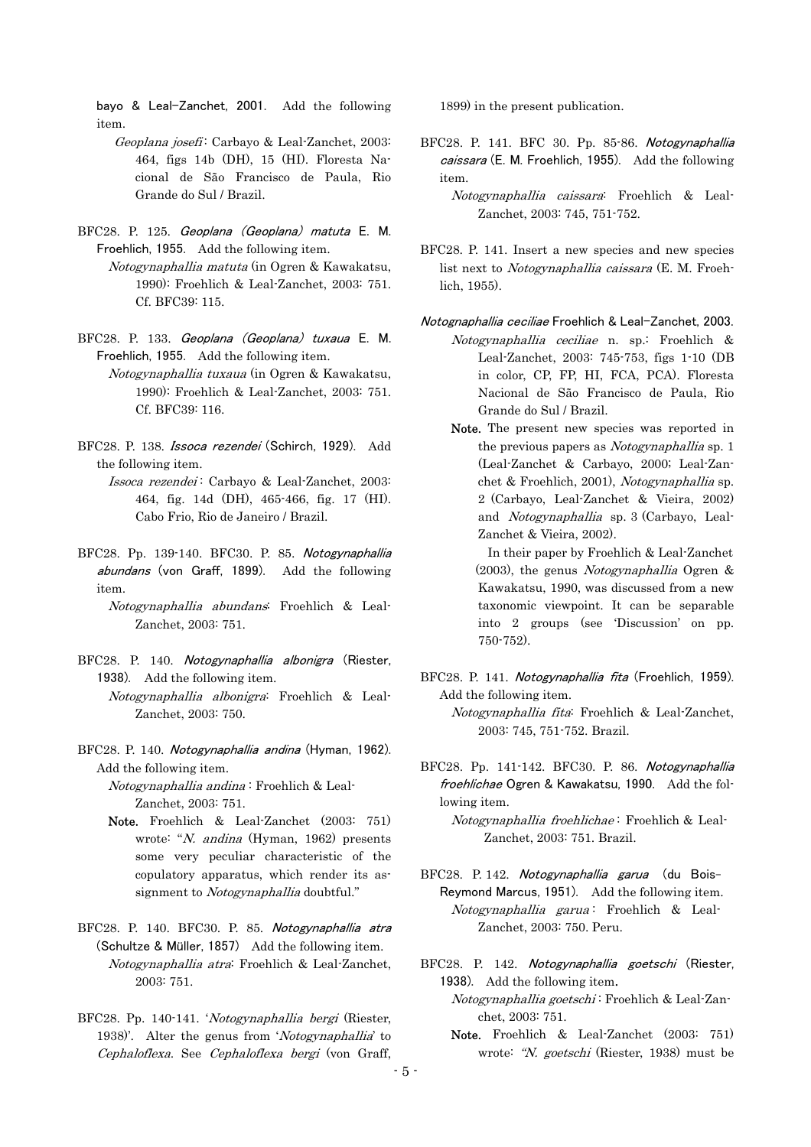bayo & Leal-Zanchet, 2001. Add the following item.

- Geoplana josefi: Carbayo & Leal-Zanchet, 2003: 464, figs 14b (DH), 15 (HI). Floresta Nacional de São Francisco de Paula, Rio Grande do Sul / Brazil.
- BFC28. P. 125. Geoplana (Geoplana) matuta E. M. Froehlich, 1955. Add the following item.
	- Notogynaphallia matuta (in Ogren & Kawakatsu, 1990): Froehlich & Leal-Zanchet, 2003: 751. Cf. BFC39: 115.
- BFC28. P. 133. Geoplana (Geoplana) tuxaua E. M. Froehlich, 1955. Add the following item.
	- Notogynaphallia tuxaua (in Ogren & Kawakatsu, 1990): Froehlich & Leal-Zanchet, 2003: 751. Cf. BFC39: 116.
- BFC28. P. 138. Issoca rezendei (Schirch, 1929). Add the following item.
	- Issoca rezendei: Carbayo & Leal-Zanchet, 2003: 464, fig. 14d (DH), 465-466, fig. 17 (HI). Cabo Frio, Rio de Janeiro / Brazil.
- BFC28. Pp. 139-140. BFC30. P. 85. Notogynaphallia abundans (von Graff, 1899). Add the following item.
	- Notogynaphallia abundans: Froehlich & Leal-Zanchet, 2003: 751.
- BFC28. P. 140. Notogynaphallia albonigra (Riester, 1938). Add the following item.
	- Notogynaphallia albonigra: Froehlich & Leal-Zanchet, 2003: 750.
- BFC28. P. 140. Notogynaphallia andina (Hyman, 1962). Add the following item.
	- Notogynaphallia andina : Froehlich & Leal-Zanchet, 2003: 751.
	- Note. Froehlich & Leal-Zanchet (2003: 751) wrote: "N. andina (Hyman, 1962) presents some very peculiar characteristic of the copulatory apparatus, which render its assignment to Notogynaphallia doubtful."
- BFC28. P. 140. BFC30. P. 85. Notogynaphallia atra (Schultze & Müller, 1857) Add the following item. Notogynaphallia atra: Froehlich & Leal-Zanchet, 2003: 751.
- BFC28. Pp. 140-141. 'Notogynaphallia bergi (Riester, 1938)'. Alter the genus from 'Notogynaphallia' to Cephaloflexa. See Cephaloflexa bergi (von Graff,

1899) in the present publication.

BFC28. P. 141. BFC 30. Pp. 85-86. Notogynaphallia caissara (E. M. Froehlich, 1955). Add the following item.

- Notogynaphallia caissara: Froehlich & Leal-Zanchet, 2003: 745, 751-752.
- BFC28. P. 141. Insert a new species and new species list next to Notogynaphallia caissara (E. M. Froehlich, 1955).
- Notognaphallia ceciliae Froehlich & Leal-Zanchet, 2003. Notogynaphallia ceciliae n. sp.: Froehlich & Leal-Zanchet, 2003: 745-753, figs 1-10 (DB in color, CP, FP, HI, FCA, PCA). Floresta Nacional de São Francisco de Paula, Rio Grande do Sul / Brazil.
	- Note. The present new species was reported in the previous papers as *Notogynaphallia* sp. 1 (Leal-Zanchet & Carbayo, 2000; Leal-Zanchet & Froehlich, 2001), Notogynaphallia sp. 2 (Carbayo, Leal-Zanchet & Vieira, 2002) and Notogynaphallia sp. 3 (Carbayo, Leal-Zanchet & Vieira, 2002).

 In their paper by Froehlich & Leal-Zanchet  $(2003)$ , the genus *Notogynaphallia* Ogren & Kawakatsu, 1990, was discussed from a new taxonomic viewpoint. It can be separable into 2 groups (see 'Discussion' on pp. 750-752).

- BFC28. P. 141. Notogynaphallia fita (Froehlich, 1959). Add the following item. Notogynaphallia fita: Froehlich & Leal-Zanchet, 2003: 745, 751-752. Brazil.
- BFC28. Pp. 141-142. BFC30. P. 86. Notogynaphallia froehlichae Ogren & Kawakatsu, 1990. Add the following item. Notogynaphallia froehlichae : Froehlich & Leal-
	- Zanchet, 2003: 751. Brazil.
- BFC28. P. 142. Notogynaphallia garua (du Bois-Reymond Marcus, 1951). Add the following item. Notogynaphallia garua: Froehlich & Leal-Zanchet, 2003: 750. Peru.
- BFC28. P. 142. Notogynaphallia goetschi (Riester, 1938). Add the following item.
	- Notogynaphallia goetschi : Froehlich & Leal-Zanchet, 2003: 751.
	- Note. Froehlich & Leal-Zanchet (2003: 751) wrote: "N. goetschi (Riester, 1938) must be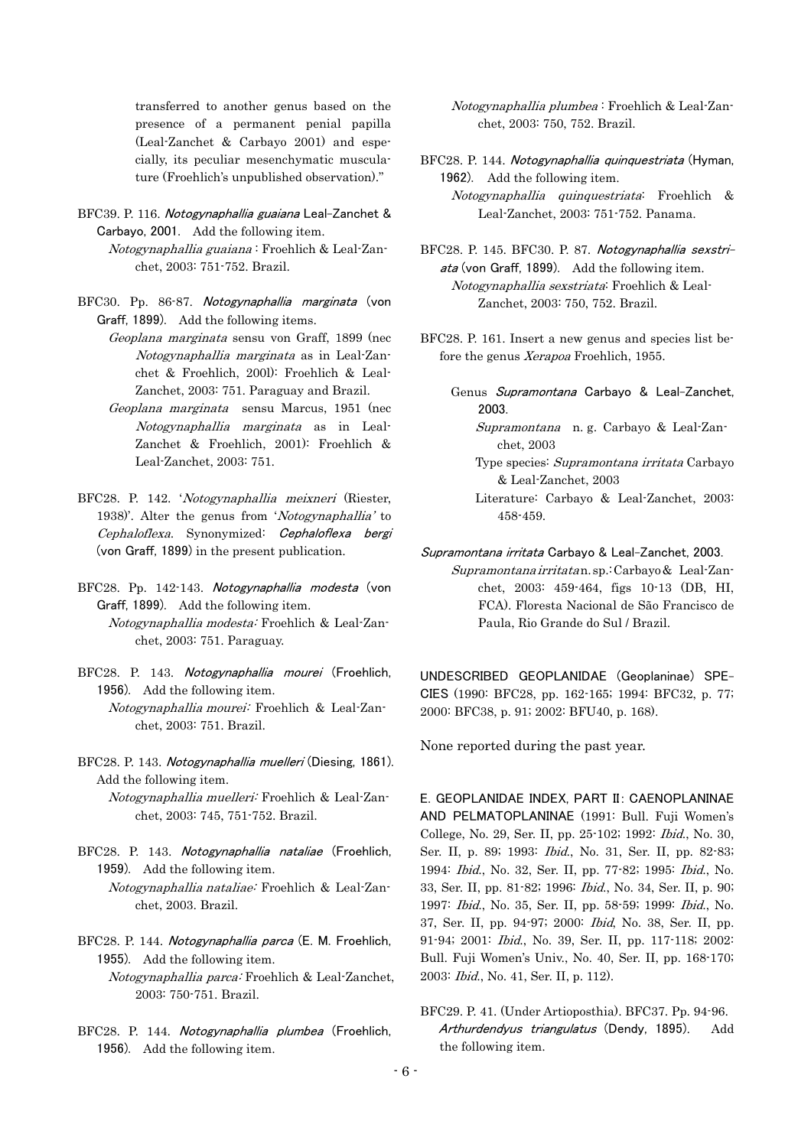transferred to another genus based on the presence of a permanent penial papilla (Leal-Zanchet & Carbayo 2001) and especially, its peculiar mesenchymatic musculature (Froehlich's unpublished observation)."

- BFC39. P. 116. Notogynaphallia guaiana Leal-Zanchet & Carbayo, 2001. Add the following item.
	- Notogynaphallia guaiana : Froehlich & Leal-Zanchet, 2003: 751-752. Brazil.
- BFC30. Pp. 86-87. Notogynaphallia marginata (von Graff, 1899). Add the following items.
	- Geoplana marginata sensu von Graff, 1899 (nec Notogynaphallia marginata as in Leal-Zanchet & Froehlich, 200l): Froehlich & Leal-Zanchet, 2003: 751. Paraguay and Brazil.
	- Geoplana marginata sensu Marcus, 1951 (nec Notogynaphallia marginata as in Leal-Zanchet & Froehlich, 2001): Froehlich & Leal-Zanchet, 2003: 751.
- BFC28. P. 142. 'Notogynaphallia meixneri (Riester, 1938)'. Alter the genus from 'Notogynaphallia' to Cephaloflexa. Synonymized: Cephaloflexa bergi (von Graff, 1899) in the present publication.
- BFC28. Pp. 142-143. Notogynaphallia modesta (von Graff, 1899). Add the following item.
	- Notogynaphallia modesta: Froehlich & Leal-Zanchet, 2003: 751. Paraguay.
- BFC28. P. 143. Notogynaphallia mourei (Froehlich, 1956). Add the following item. Notogynaphallia mourei: Froehlich & Leal-Zanchet, 2003: 751. Brazil.
- BFC28. P. 143. Notogynaphallia muelleri (Diesing, 1861). Add the following item.

 Notogynaphallia muelleri: Froehlich & Leal-Zanchet, 2003: 745, 751-752. Brazil.

- BFC28. P. 143. Notogynaphallia nataliae (Froehlich, 1959). Add the following item.
	- Notogynaphallia nataliae: Froehlich & Leal-Zanchet, 2003. Brazil.
- BFC28. P. 144. Notogynaphallia parca (E. M. Froehlich, 1955). Add the following item.
	- Notogynaphallia parca: Froehlich & Leal-Zanchet, 2003: 750-751. Brazil.
- BFC28. P. 144. Notogynaphallia plumbea (Froehlich, 1956). Add the following item.

 Notogynaphallia plumbea : Froehlich & Leal-Zanchet, 2003: 750, 752. Brazil.

BFC28. P. 144. Notogynaphallia quinquestriata (Hyman, 1962). Add the following item. Notogynaphallia quinquestriata: Froehlich & Leal-Zanchet, 2003: 751-752. Panama.

- BFC28. P. 145. BFC30. P. 87. Notogynaphallia sexstriata (von Graff, 1899). Add the following item. Notogynaphallia sexstriata: Froehlich & Leal-Zanchet, 2003: 750, 752. Brazil.
- BFC28. P. 161. Insert a new genus and species list before the genus Xerapoa Froehlich, 1955.
	- Genus Supramontana Carbayo & Leal-Zanchet, 2003.
		- Supramontana n. g. Carbayo & Leal-Zanchet, 2003
		- Type species: Supramontana irritata Carbayo & Leal-Zanchet, 2003
		- Literature: Carbayo & Leal-Zanchet, 2003: 458-459.

Supramontana irritata Carbayo & Leal-Zanchet, 2003.

 Supramontanairritatan.sp.:Carbayo& Leal-Zanchet, 2003: 459-464, figs 10-13 (DB, HI, FCA). Floresta Nacional de São Francisco de Paula, Rio Grande do Sul / Brazil.

UNDESCRIBED GEOPLANIDAE (Geoplaninae) SPE-CIES (1990: BFC28, pp. 162-165; 1994: BFC32, p. 77; 2000: BFC38, p. 91; 2002: BFU40, p. 168).

None reported during the past year.

E. GEOPLANIDAE INDEX, PART II: CAENOPLANINAE AND PELMATOPLANINAE (1991: Bull. Fuji Women's College, No. 29, Ser. II, pp. 25-102; 1992: Ibid., No. 30, Ser. II, p. 89; 1993: Ibid., No. 31, Ser. II, pp. 82-83; 1994: Ibid., No. 32, Ser. II, pp. 77-82; 1995: Ibid., No. 33, Ser. II, pp. 81-82; 1996: Ibid., No. 34, Ser. II, p. 90; 1997: Ibid., No. 35, Ser. II, pp. 58-59; 1999: Ibid., No. 37, Ser. II, pp. 94-97; 2000: Ibid, No. 38, Ser. II, pp. 91-94; 2001: Ibid., No. 39, Ser. II, pp. 117-118; 2002: Bull. Fuji Women's Univ., No. 40, Ser. II, pp. 168-170; 2003: Ibid., No. 41, Ser. II, p. 112).

BFC29. P. 41. (Under Artioposthia). BFC37. Pp. 94-96. Arthurdendyus triangulatus (Dendy, 1895). Add the following item.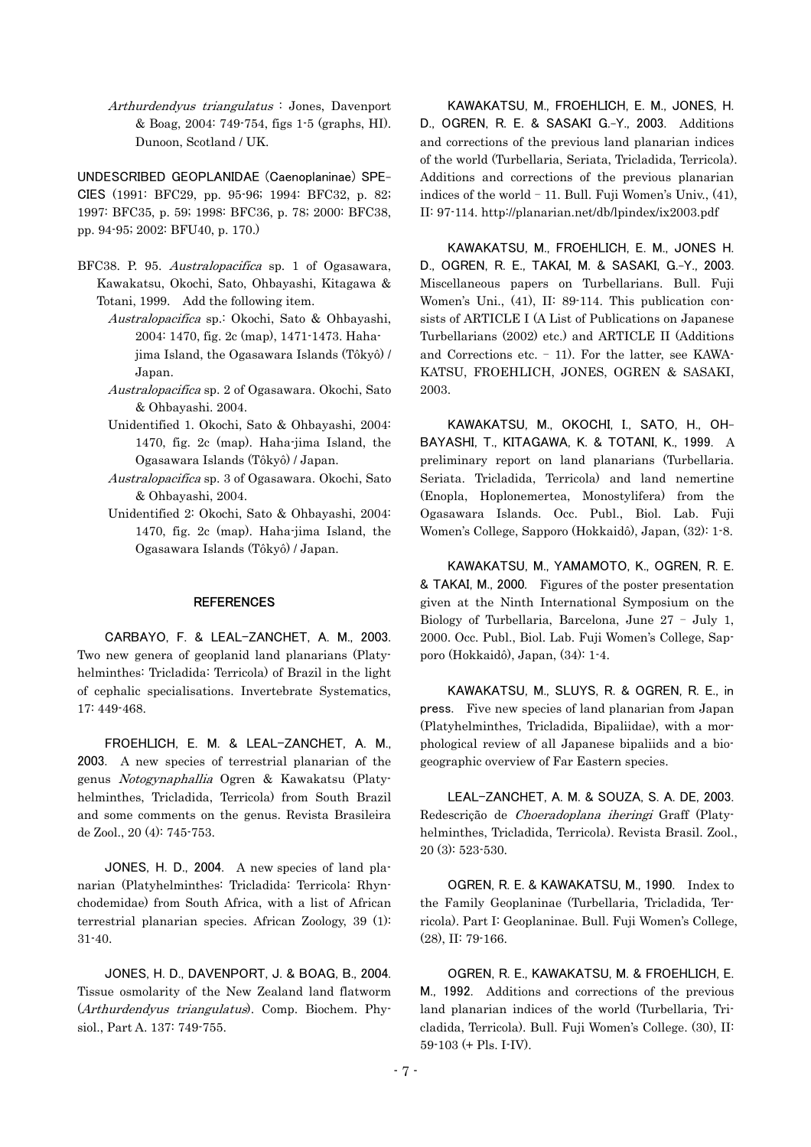Arthurdendyus triangulatus : Jones, Davenport & Boag, 2004: 749-754, figs 1-5 (graphs, HI). Dunoon, Scotland / UK.

UNDESCRIBED GEOPLANIDAE (Caenoplaninae) SPE-CIES (1991: BFC29, pp. 95-96; 1994: BFC32, p. 82; 1997: BFC35, p. 59; 1998: BFC36, p. 78; 2000: BFC38, pp. 94-95; 2002: BFU40, p. 170.)

- BFC38. P. 95. Australopacifica sp. 1 of Ogasawara, Kawakatsu, Okochi, Sato, Ohbayashi, Kitagawa & Totani, 1999. Add the following item.
	- Australopacifica sp.: Okochi, Sato & Ohbayashi, 2004: 1470, fig. 2c (map), 1471-1473. Hahajima Island, the Ogasawara Islands (Tôkyô) / Japan.
	- Australopacifica sp. 2 of Ogasawara. Okochi, Sato & Ohbayashi. 2004.
	- Unidentified 1. Okochi, Sato & Ohbayashi, 2004: 1470, fig. 2c (map). Haha-jima Island, the Ogasawara Islands (Tôkyô) / Japan.
	- Australopacifica sp. 3 of Ogasawara. Okochi, Sato & Ohbayashi, 2004.
	- Unidentified 2: Okochi, Sato & Ohbayashi, 2004: 1470, fig. 2c (map). Haha-jima Island, the Ogasawara Islands (Tôkyô) / Japan.

#### **REFERENCES**

CARBAYO, F. & LEAL-ZANCHET, A. M., 2003. Two new genera of geoplanid land planarians (Platyhelminthes: Tricladida: Terricola) of Brazil in the light of cephalic specialisations. Invertebrate Systematics, 17: 449-468.

FROEHLICH, E. M. & LEAL-ZANCHET, A. M., 2003. A new species of terrestrial planarian of the genus Notogynaphallia Ogren & Kawakatsu (Platyhelminthes, Tricladida, Terricola) from South Brazil and some comments on the genus. Revista Brasileira de Zool., 20 (4): 745-753.

JONES, H. D., 2004. A new species of land planarian (Platyhelminthes: Tricladida: Terricola: Rhynchodemidae) from South Africa, with a list of African terrestrial planarian species. African Zoology, 39 (1): 31-40.

JONES, H. D., DAVENPORT, J. & BOAG, B., 2004. Tissue osmolarity of the New Zealand land flatworm (Arthurdendyus triangulatus). Comp. Biochem. Physiol., Part A. 137: 749-755.

KAWAKATSU, M., FROEHLICH, E. M., JONES, H. D., OGREN, R. E. & SASAKI G.-Y., 2003. Additions and corrections of the previous land planarian indices of the world (Turbellaria, Seriata, Tricladida, Terricola). Additions and corrections of the previous planarian indices of the world - 11. Bull. Fuji Women's Univ., (41), II: 97-114. http://planarian.net/db/lpindex/ix2003.pdf

KAWAKATSU, M., FROEHLICH, E. M., JONES H. D., OGREN, R. E., TAKAI, M. & SASAKI, G.-Y., 2003. Miscellaneous papers on Turbellarians. Bull. Fuji Women's Uni., (41), II: 89-114. This publication consists of ARTICLE I (A List of Publications on Japanese Turbellarians (2002) etc.) and ARTICLE II (Additions and Corrections etc. - 11). For the latter, see KAWA-KATSU, FROEHLICH, JONES, OGREN & SASAKI, 2003.

KAWAKATSU, M., OKOCHI, I., SATO, H., OH-BAYASHI, T., KITAGAWA, K. & TOTANI, K., 1999. A preliminary report on land planarians (Turbellaria. Seriata. Tricladida, Terricola) and land nemertine (Enopla, Hoplonemertea, Monostylifera) from the Ogasawara Islands. Occ. Publ., Biol. Lab. Fuji Women's College, Sapporo (Hokkaidô), Japan, (32): 1-8.

KAWAKATSU, M., YAMAMOTO, K., OGREN, R. E. & TAKAI, M., 2000. Figures of the poster presentation given at the Ninth International Symposium on the Biology of Turbellaria, Barcelona, June 27 - July 1, 2000. Occ. Publ., Biol. Lab. Fuji Women's College, Sapporo (Hokkaidô), Japan, (34): 1-4.

KAWAKATSU, M., SLUYS, R. & OGREN, R. E., in press. Five new species of land planarian from Japan (Platyhelminthes, Tricladida, Bipaliidae), with a morphological review of all Japanese bipaliids and a biogeographic overview of Far Eastern species.

LEAL-ZANCHET, A. M. & SOUZA, S. A. DE, 2003. Redescrição de Choeradoplana iheringi Graff (Platyhelminthes, Tricladida, Terricola). Revista Brasil. Zool., 20 (3): 523-530.

OGREN, R. E. & KAWAKATSU, M., 1990. Index to the Family Geoplaninae (Turbellaria, Tricladida, Terricola). Part I: Geoplaninae. Bull. Fuji Women's College, (28), II: 79-166.

OGREN, R. E., KAWAKATSU, M. & FROEHLICH, E. M., 1992. Additions and corrections of the previous land planarian indices of the world (Turbellaria, Tricladida, Terricola). Bull. Fuji Women's College. (30), II: 59-103 (+ Pls. I-IV).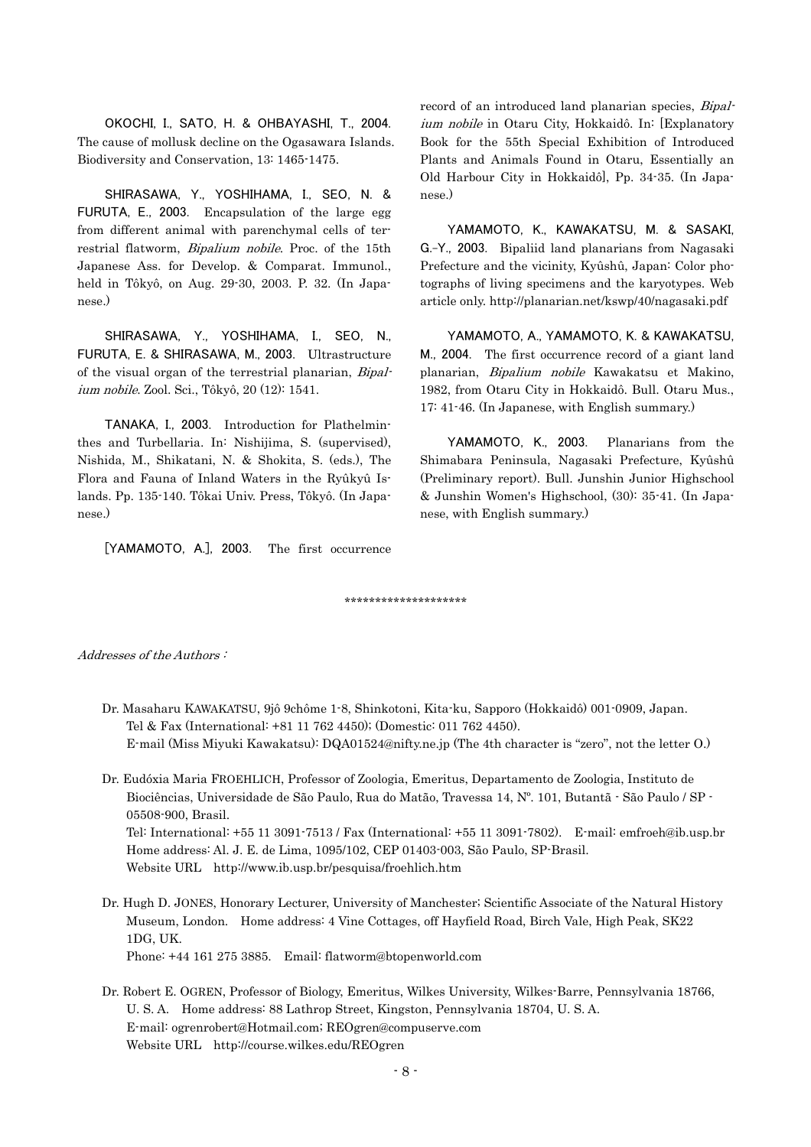OKOCHI, I., SATO, H. & OHBAYASHI, T., 2004. The cause of mollusk decline on the Ogasawara Islands. Biodiversity and Conservation, 13: 1465-1475.

SHIRASAWA, Y., YOSHIHAMA, I., SEO, N. & FURUTA, E., 2003. Encapsulation of the large egg from different animal with parenchymal cells of terrestrial flatworm, Bipalium nobile. Proc. of the 15th Japanese Ass. for Develop. & Comparat. Immunol., held in Tôkyô, on Aug. 29-30, 2003. P. 32. (In Japanese.)

SHIRASAWA, Y., YOSHIHAMA, I., SEO, N., FURUTA, E. & SHIRASAWA, M., 2003. Ultrastructure of the visual organ of the terrestrial planarian, Bipalium nobile. Zool. Sci., Tôkyô, 20 (12): 1541.

TANAKA, I., 2003. Introduction for Plathelminthes and Turbellaria. In: Nishijima, S. (supervised), Nishida, M., Shikatani, N. & Shokita, S. (eds.), The Flora and Fauna of Inland Waters in the Ryûkyû Islands. Pp. 135-140. Tôkai Univ. Press, Tôkyô. (In Japanese.)

[YAMAMOTO, A.], 2003. The first occurrence

record of an introduced land planarian species, Bipalium nobile in Otaru City, Hokkaidô. In: [Explanatory Book for the 55th Special Exhibition of Introduced Plants and Animals Found in Otaru, Essentially an Old Harbour City in Hokkaidô], Pp. 34-35. (In Japanese.)

YAMAMOTO, K., KAWAKATSU, M. & SASAKI, G.-Y., 2003. Bipaliid land planarians from Nagasaki Prefecture and the vicinity, Kyûshû, Japan: Color photographs of living specimens and the karyotypes. Web article only. http://planarian.net/kswp/40/nagasaki.pdf

YAMAMOTO, A., YAMAMOTO, K. & KAWAKATSU, M., 2004. The first occurrence record of a giant land planarian, Bipalium nobile Kawakatsu et Makino, 1982, from Otaru City in Hokkaidô. Bull. Otaru Mus., 17: 41-46. (In Japanese, with English summary.)

YAMAMOTO, K., 2003. Planarians from the Shimabara Peninsula, Nagasaki Prefecture, Kyûshû (Preliminary report). Bull. Junshin Junior Highschool & Junshin Women's Highschool, (30): 35-41. (In Japanese, with English summary.)

\*\*\*\*\*\*\*\*\*\*\*\*\*\*\*\*\*\*\*\*

Addresses of the Authors :

- Dr. Masaharu KAWAKATSU, 9jô 9chôme 1-8, Shinkotoni, Kita-ku, Sapporo (Hokkaidô) 001-0909, Japan. Tel & Fax (International: +81 11 762 4450); (Domestic: 011 762 4450). E-mail (Miss Miyuki Kawakatsu): DQA01524@nifty.ne.jp (The 4th character is "zero", not the letter O.)
- Dr. Eudóxia Maria FROEHLICH, Professor of Zoologia, Emeritus, Departamento de Zoologia, Instituto de Biociências, Universidade de São Paulo, Rua do Matão, Travessa 14, Nº. 101, Butantã - São Paulo / SP - 05508-900, Brasil.

 Tel: International: +55 11 3091-7513 / Fax (International: +55 11 3091-7802). E-mail: emfroeh@ib.usp.br Home address: Al. J. E. de Lima, 1095/102, CEP 01403-003, São Paulo, SP-Brasil. Website URL http://www.ib.usp.br/pesquisa/froehlich.htm

 Dr. Hugh D. JONES, Honorary Lecturer, University of Manchester; Scientific Associate of the Natural History Museum, London. Home address: 4 Vine Cottages, off Hayfield Road, Birch Vale, High Peak, SK22 1DG, UK.

Phone: +44 161 275 3885. Email: flatworm@btopenworld.com

 Dr. Robert E. OGREN, Professor of Biology, Emeritus, Wilkes University, Wilkes-Barre, Pennsylvania 18766, U. S. A. Home address: 88 Lathrop Street, Kingston, Pennsylvania 18704, U. S. A. E-mail: ogrenrobert@Hotmail.com; REOgren@compuserve.com Website URL http://course.wilkes.edu/REOgren